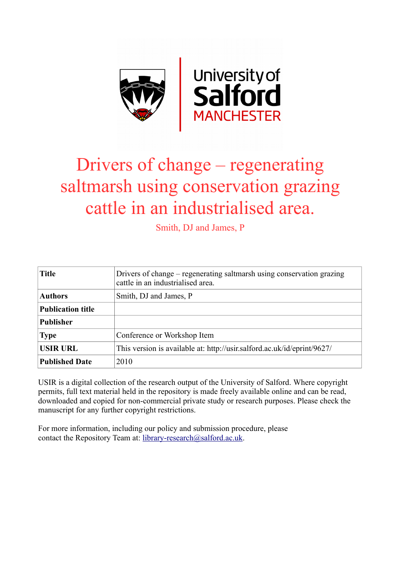

## Drivers of change – regenerating saltmarsh using conservation grazing cattle in an industrialised area.

Smith, DJ and James, P

| <b>Title</b>             | Drivers of change – regenerating saltmarsh using conservation grazing<br>cattle in an industrialised area. |
|--------------------------|------------------------------------------------------------------------------------------------------------|
| <b>Authors</b>           | Smith, DJ and James, P                                                                                     |
| <b>Publication title</b> |                                                                                                            |
| <b>Publisher</b>         |                                                                                                            |
| <b>Type</b>              | Conference or Workshop Item                                                                                |
| <b>USIR URL</b>          | This version is available at: http://usir.salford.ac.uk/id/eprint/9627/                                    |
| <b>Published Date</b>    | 2010                                                                                                       |

USIR is a digital collection of the research output of the University of Salford. Where copyright permits, full text material held in the repository is made freely available online and can be read, downloaded and copied for non-commercial private study or research purposes. Please check the manuscript for any further copyright restrictions.

For more information, including our policy and submission procedure, please contact the Repository Team at: [library-research@salford.ac.uk.](mailto:library-research@salford.ac.uk)